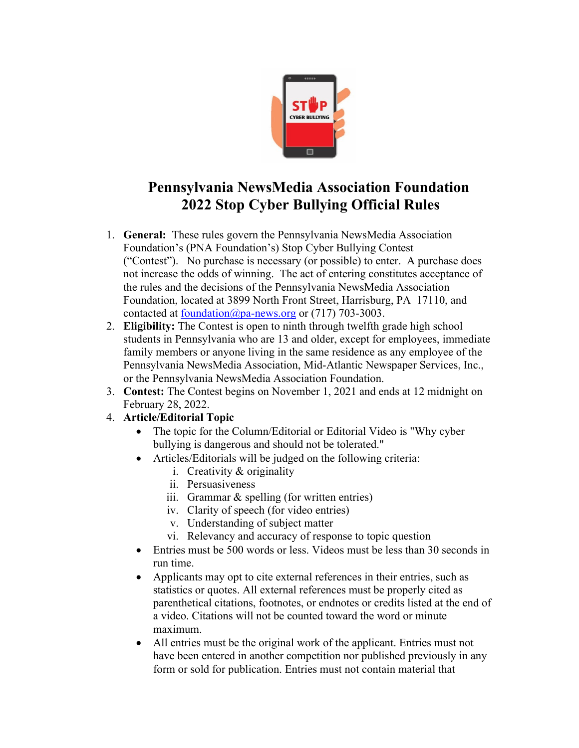

## **Pennsylvania NewsMedia Association Foundation 2022 Stop Cyber Bullying Official Rules**

- 1. **General:** These rules govern the Pennsylvania NewsMedia Association Foundation's (PNA Foundation's) Stop Cyber Bullying Contest ("Contest"). No purchase is necessary (or possible) to enter. A purchase does not increase the odds of winning. The act of entering constitutes acceptance of the rules and the decisions of the Pennsylvania NewsMedia Association Foundation, located at 3899 North Front Street, Harrisburg, PA 17110, and contacted at foundation@pa-news.org or (717) 703-3003.
- 2. **Eligibility:** The Contest is open to ninth through twelfth grade high school students in Pennsylvania who are 13 and older, except for employees, immediate family members or anyone living in the same residence as any employee of the Pennsylvania NewsMedia Association, Mid-Atlantic Newspaper Services, Inc., or the Pennsylvania NewsMedia Association Foundation.
- 3. **Contest:** The Contest begins on November 1, 2021 and ends at 12 midnight on February 28, 2022.
- 4. **Article/Editorial Topic**
	- The topic for the Column/Editorial or Editorial Video is "Why cyber bullying is dangerous and should not be tolerated."
	- Articles/Editorials will be judged on the following criteria:
		- i. Creativity & originality
		- ii. Persuasiveness
		- iii. Grammar & spelling (for written entries)
		- iv. Clarity of speech (for video entries)
		- v. Understanding of subject matter
		- vi. Relevancy and accuracy of response to topic question
	- Entries must be 500 words or less. Videos must be less than 30 seconds in run time.
	- Applicants may opt to cite external references in their entries, such as statistics or quotes. All external references must be properly cited as parenthetical citations, footnotes, or endnotes or credits listed at the end of a video. Citations will not be counted toward the word or minute maximum.
	- All entries must be the original work of the applicant. Entries must not have been entered in another competition nor published previously in any form or sold for publication. Entries must not contain material that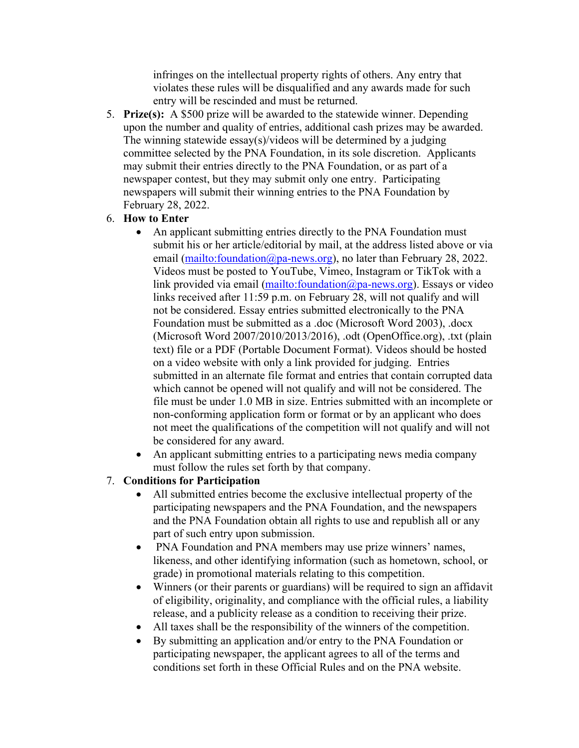infringes on the intellectual property rights of others. Any entry that violates these rules will be disqualified and any awards made for such entry will be rescinded and must be returned.

- 5. **Prize(s):** A \$500 prize will be awarded to the statewide winner. Depending upon the number and quality of entries, additional cash prizes may be awarded. The winning statewide essay(s)/videos will be determined by a judging committee selected by the PNA Foundation, in its sole discretion. Applicants may submit their entries directly to the PNA Foundation, or as part of a newspaper contest, but they may submit only one entry. Participating newspapers will submit their winning entries to the PNA Foundation by February 28, 2022.
- 6. **How to Enter** 
	- An applicant submitting entries directly to the PNA Foundation must submit his or her article/editorial by mail, at the address listed above or via email (mailto:foundation@pa-news.org), no later than February 28, 2022. Videos must be posted to YouTube, Vimeo, Instagram or TikTok with a link provided via email (mailto:foundation@pa-news.org). Essays or video links received after 11:59 p.m. on February 28, will not qualify and will not be considered. Essay entries submitted electronically to the PNA Foundation must be submitted as a .doc (Microsoft Word 2003), .docx (Microsoft Word 2007/2010/2013/2016), .odt (OpenOffice.org), .txt (plain text) file or a PDF (Portable Document Format). Videos should be hosted on a video website with only a link provided for judging. Entries submitted in an alternate file format and entries that contain corrupted data which cannot be opened will not qualify and will not be considered. The file must be under 1.0 MB in size. Entries submitted with an incomplete or non-conforming application form or format or by an applicant who does not meet the qualifications of the competition will not qualify and will not be considered for any award.
	- An applicant submitting entries to a participating news media company must follow the rules set forth by that company.

## 7. **Conditions for Participation**

- All submitted entries become the exclusive intellectual property of the participating newspapers and the PNA Foundation, and the newspapers and the PNA Foundation obtain all rights to use and republish all or any part of such entry upon submission.
- PNA Foundation and PNA members may use prize winners' names, likeness, and other identifying information (such as hometown, school, or grade) in promotional materials relating to this competition.
- Winners (or their parents or guardians) will be required to sign an affidavit of eligibility, originality, and compliance with the official rules, a liability release, and a publicity release as a condition to receiving their prize.
- All taxes shall be the responsibility of the winners of the competition.
- By submitting an application and/or entry to the PNA Foundation or participating newspaper, the applicant agrees to all of the terms and conditions set forth in these Official Rules and on the PNA website.